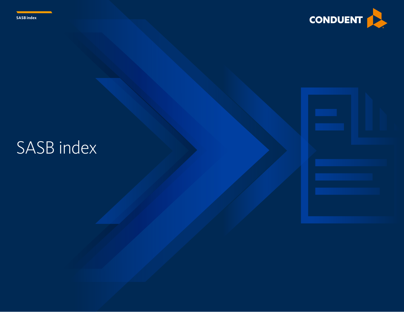



# SASB index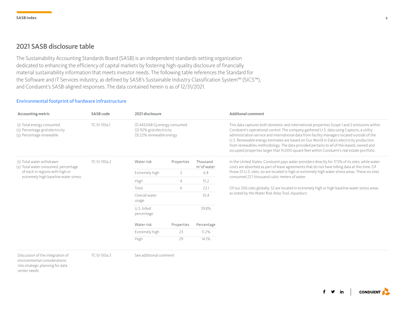## 2021 SASB disclosure table

The Sustainability Accounting Standards Board (SASB) is an independent standards-setting organization dedicated to enhancing the efficiency of capital markets by fostering high-quality disclosure of financially material sustainability information that meets investor needs. The following table references the Standard for the Software and IT Services industry, as defined by SASB's Sustainable Industry Classification System™ (SICS™), and Conduent's SASB-aligned responses. The data contained herein is as of 12/31/2021.

#### Environmental footprint of hardware infrastructure

| Accounting metric                                                                                                                            | SASB code    | 2021 disclosure           |                                                                                          |                                     | Additonal comment                                                                                                                                                                                                                                                                                                                                                                                                                                                                                                                                                            |
|----------------------------------------------------------------------------------------------------------------------------------------------|--------------|---------------------------|------------------------------------------------------------------------------------------|-------------------------------------|------------------------------------------------------------------------------------------------------------------------------------------------------------------------------------------------------------------------------------------------------------------------------------------------------------------------------------------------------------------------------------------------------------------------------------------------------------------------------------------------------------------------------------------------------------------------------|
| (1) Total energy consumed<br>(2) Percentage grid electricity<br>(3) Percentage renewable                                                     | TC-SI-130a.1 |                           | $(1)$ 443,068 GJ energy consumed<br>(2) 92% grid electricity<br>(3) 22% renewable energy |                                     | This data captures both domestic and international properties Scope 1 and 2 emissions within<br>Conduent's operational control. The company gathered U.S. data using Capturis, a utility<br>administration service and international data from facility managers located outside of the<br>U.S. Renewable energy estimates are based on Our World in Data's electricity production<br>from renewables methodology. The data provided pertains to all of the leased, owned and<br>occupied properties larger that 15,000 square feet within Conduent's real estate portfolio. |
| (1) Total water withdrawn<br>(2) Total water consumed, percentage<br>of each in regions with high or<br>extremely high baseline water stress | TC-SI-130a.2 | Water risk                | Properties                                                                               | Thousand<br>m <sup>3</sup> of water | In the United States, Conduent pays water providers directly for 17.5% of its sites, while water<br>costs are absorbed as part of lease agreements that do not have billing data at this time. Of                                                                                                                                                                                                                                                                                                                                                                            |
|                                                                                                                                              |              | Extremely high            |                                                                                          | 6.8                                 | those 25 U.S. sites, six are located in high or extremely high water stress areas. These six sites<br>consumed 22.1 thousand cubic meters of water.                                                                                                                                                                                                                                                                                                                                                                                                                          |
|                                                                                                                                              |              | High                      | 4                                                                                        | 15.2                                |                                                                                                                                                                                                                                                                                                                                                                                                                                                                                                                                                                              |
|                                                                                                                                              |              | Total                     | 6                                                                                        | 22.1                                | Of our 206 sites globally, 52 are located in extremely high or high baseline water stress areas                                                                                                                                                                                                                                                                                                                                                                                                                                                                              |
|                                                                                                                                              |              | Overall water<br>usage    |                                                                                          | 55.4                                | as noted by the Water Risk Atlas Tool, Aqueduct.                                                                                                                                                                                                                                                                                                                                                                                                                                                                                                                             |
|                                                                                                                                              |              | U.S. billed<br>percentage |                                                                                          | 39.8%                               |                                                                                                                                                                                                                                                                                                                                                                                                                                                                                                                                                                              |
|                                                                                                                                              |              | Water risk                | Properties                                                                               | Percentage                          |                                                                                                                                                                                                                                                                                                                                                                                                                                                                                                                                                                              |
|                                                                                                                                              |              | Extremely high            | 23                                                                                       | 11.2%                               |                                                                                                                                                                                                                                                                                                                                                                                                                                                                                                                                                                              |
|                                                                                                                                              |              | High                      | 29                                                                                       | 14.1%                               |                                                                                                                                                                                                                                                                                                                                                                                                                                                                                                                                                                              |

Discussion of the integration of environmental considerations

See additional comment TC-SI-130a.3

into strategic planning for data center needs

f y in **CONDUENT**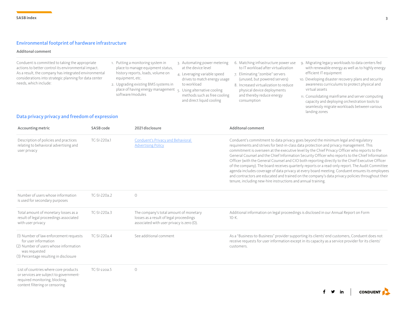### Environmental footprint of hardware infrastructure

#### Additonal comment

| Conduent is committed to taking the appropriate<br>actions to better control its environmental impact.<br>As a result, the company has integrated environmental<br>considerations into strategic planning for data center<br>needs, which include: | 1. Putting a monitoring system in<br>place to manage equipment status,<br>history reports, loads, volume on<br>equipment, etc.<br>2. Upgrading existing BMS systems in<br>place of having energy management 5. Using alternative cooling<br>software/modules | 3. Automating power metering<br>at the device level<br>4. Leveraging variable speed<br>drives to match energy usage<br>to workload<br>methods such as free cooling<br>and direct liquid cooling | 6. Matching infrastructure power use<br>to IT workload after virtualization<br>7. Eliminating "zombie" servers<br>(unused, but powered servers)<br>8. Increased virtualization to reduce<br>physical device deployments<br>and thereby reduce energy<br>consumption | 9. Migrating legacy workloads to data centers fed<br>with renewable energy as well as to highly energy<br>efficient IT equipment<br>10. Developing disaster recovery plans and security<br>awareness curriculums to protect physical and<br>virtual assets<br>11. Consolidating mainframe and server computing<br>capacity and deploying orchestration tools to<br>seamlessly migrate workloads between various<br>landing zones |
|----------------------------------------------------------------------------------------------------------------------------------------------------------------------------------------------------------------------------------------------------|--------------------------------------------------------------------------------------------------------------------------------------------------------------------------------------------------------------------------------------------------------------|-------------------------------------------------------------------------------------------------------------------------------------------------------------------------------------------------|---------------------------------------------------------------------------------------------------------------------------------------------------------------------------------------------------------------------------------------------------------------------|----------------------------------------------------------------------------------------------------------------------------------------------------------------------------------------------------------------------------------------------------------------------------------------------------------------------------------------------------------------------------------------------------------------------------------|
|----------------------------------------------------------------------------------------------------------------------------------------------------------------------------------------------------------------------------------------------------|--------------------------------------------------------------------------------------------------------------------------------------------------------------------------------------------------------------------------------------------------------------|-------------------------------------------------------------------------------------------------------------------------------------------------------------------------------------------------|---------------------------------------------------------------------------------------------------------------------------------------------------------------------------------------------------------------------------------------------------------------------|----------------------------------------------------------------------------------------------------------------------------------------------------------------------------------------------------------------------------------------------------------------------------------------------------------------------------------------------------------------------------------------------------------------------------------|

### Data privacy privacy and freedom of expression

| Accounting metric                                                                                                                                                  | SASB code<br>2021 disclosure<br>TC-SI-220a.1<br><b>Conduent's Privacy and Behavioral</b><br><b>Advertising Policy</b> |                                                                                                                                | <b>Additonal comment</b><br>Conduent's commitment to data privacy goes beyond the minimum legal and regulatory<br>requirements and strives for best-in-class data protection and privacy management. This<br>commitment is overseen at the executive level by the Chief Privacy Officer who reports to the<br>General Counsel and the Chief Information Security Officer who reports to the Chief Information<br>Officer (with the General Counsel and CIO both reporting directly to the Chief Executive Officer<br>of the company). The board receives quarterly reports or a read-only report. The Audit Committee<br>agenda includes coverage of data privacy at every board meeting. Conduent ensures its employees<br>and contractors are educated and trained on the company's data privacy policies throughout their<br>tenure, including new-hire instructions and annual training. |  |  |
|--------------------------------------------------------------------------------------------------------------------------------------------------------------------|-----------------------------------------------------------------------------------------------------------------------|--------------------------------------------------------------------------------------------------------------------------------|----------------------------------------------------------------------------------------------------------------------------------------------------------------------------------------------------------------------------------------------------------------------------------------------------------------------------------------------------------------------------------------------------------------------------------------------------------------------------------------------------------------------------------------------------------------------------------------------------------------------------------------------------------------------------------------------------------------------------------------------------------------------------------------------------------------------------------------------------------------------------------------------|--|--|
| Description of policies and practices<br>relating to behavioral advertising and<br>user privacy                                                                    |                                                                                                                       |                                                                                                                                |                                                                                                                                                                                                                                                                                                                                                                                                                                                                                                                                                                                                                                                                                                                                                                                                                                                                                              |  |  |
| Number of users whose information<br>is used for secondary purposes                                                                                                | TC-SI-220a.2                                                                                                          | $\bigcirc$                                                                                                                     |                                                                                                                                                                                                                                                                                                                                                                                                                                                                                                                                                                                                                                                                                                                                                                                                                                                                                              |  |  |
| Total amount of monetary losses as a<br>result of legal proceedings associated<br>with user privacy                                                                | TC-SI-220a.3                                                                                                          | The company's total amount of monetary<br>losses as a result of legal proceedings<br>associated with user privacy is zero (0). | Additional information on legal proceedings is disclosed in our Annual Report on Form<br>$10-K.$                                                                                                                                                                                                                                                                                                                                                                                                                                                                                                                                                                                                                                                                                                                                                                                             |  |  |
| (1) Number of law enforcement requests<br>for user information<br>(2) Number of users whose information<br>was requested<br>(3) Percentage resulting in disclosure | TC-SI-220a.4                                                                                                          | See additional comment                                                                                                         | As a "Business-to-Business" provider supporting its clients' end customers, Conduent does not<br>receive requests for user information except in its capacity as a service provider for its clients'<br>customers.                                                                                                                                                                                                                                                                                                                                                                                                                                                                                                                                                                                                                                                                           |  |  |
| List of countries where core products<br>or services are subject to government-<br>required monitoring, blocking,<br>content filtering or censoring                | TC-SI-220a.5                                                                                                          | $\bigcirc$                                                                                                                     | <b>CONDUENT</b><br><b>in</b>                                                                                                                                                                                                                                                                                                                                                                                                                                                                                                                                                                                                                                                                                                                                                                                                                                                                 |  |  |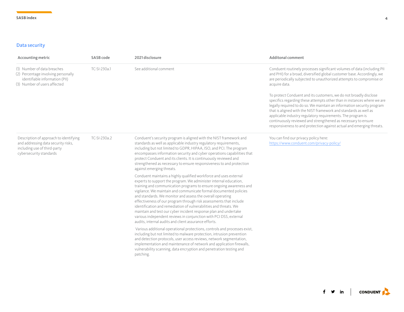#### Data security

| Accounting metric                                                                                                                        | SASB code    | 2021 disclosure                                                                                                                                                                                                                                                                                                                                                                                                                                                                                                                                                                                                                                                                               | <b>Additonal comment</b>                                                                                                                                                                                                                                                                                                                                                                                                                                                                            |
|------------------------------------------------------------------------------------------------------------------------------------------|--------------|-----------------------------------------------------------------------------------------------------------------------------------------------------------------------------------------------------------------------------------------------------------------------------------------------------------------------------------------------------------------------------------------------------------------------------------------------------------------------------------------------------------------------------------------------------------------------------------------------------------------------------------------------------------------------------------------------|-----------------------------------------------------------------------------------------------------------------------------------------------------------------------------------------------------------------------------------------------------------------------------------------------------------------------------------------------------------------------------------------------------------------------------------------------------------------------------------------------------|
| (1) Number of data breaches<br>(2) Percentage involving personally<br>identifiable information (PII)<br>(3) Number of users affected     | TC-SI-230a.1 | See additional comment                                                                                                                                                                                                                                                                                                                                                                                                                                                                                                                                                                                                                                                                        | Conduent routinely processes significant volumes of data (including PII<br>and PHI) for a broad, diversified global customer base. Accordingly, we<br>are periodically subjected to unauthorized attempts to compromise or<br>acquire data.                                                                                                                                                                                                                                                         |
|                                                                                                                                          |              |                                                                                                                                                                                                                                                                                                                                                                                                                                                                                                                                                                                                                                                                                               | To protect Conduent and its customers, we do not broadly disclose<br>specifics regarding these attempts other than in instances where we are<br>legally required to do so. We maintain an information security program<br>that is aligned with the NIST framework and standards as well as<br>applicable industry regulatory requirements. The program is<br>continuously reviewed and strengthened as necessary to ensure<br>responsiveness to and protection against actual and emerging threats. |
| Description of approach to identifying<br>and addressing data security risks,<br>including use of third-party<br>cybersecurity standards | TC-SI-230a.2 | Conduent's security program is aligned with the NIST framework and<br>standards as well as applicable industry regulatory requirements,<br>including but not limited to GDPR, HIPAA, ISO, and PCI. The program<br>encompasses information security and cyber operations capabilities that<br>protect Conduent and its clients. It is continuously reviewed and<br>strengthened as necessary to ensure responsiveness to and protection<br>against emerging threats.                                                                                                                                                                                                                           | You can find our privacy policy here:<br>https://www.conduent.com/privacy-policy/                                                                                                                                                                                                                                                                                                                                                                                                                   |
|                                                                                                                                          |              | Conduent maintains a highly qualified workforce and uses external<br>experts to support the program. We administer internal education,<br>training and communication programs to ensure ongoing awareness and<br>vigilance. We maintain and communicate formal documented policies<br>and standards. We monitor and assess the overall operating<br>effectiveness of our program through risk assessments that include<br>identification and remediation of vulnerabilities and threats. We<br>maintain and test our cyber incident response plan and undertake<br>various independent reviews in conjunction with PCI DSS, external<br>audits, internal audits and client assurance efforts. |                                                                                                                                                                                                                                                                                                                                                                                                                                                                                                     |
|                                                                                                                                          |              | Various additional operational protections, controls and processes exist,<br>including but not limited to malware protection, intrusion prevention<br>and detection protocols, user access reviews, network segmentation,<br>implementation and maintenance of network and application firewalls,<br>vulnerability scanning, data encryption and penetration testing and<br>patching.                                                                                                                                                                                                                                                                                                         |                                                                                                                                                                                                                                                                                                                                                                                                                                                                                                     |

 $f \circ in$  conduent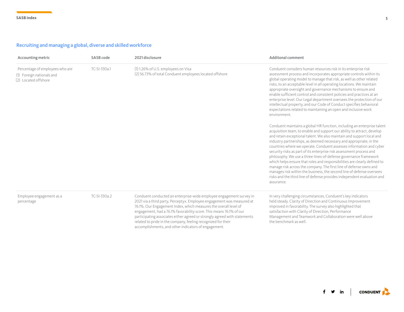## Recruiting and managing a global, diverse and skilled workforce

| Accounting metric                                                                    | SASB code    | 2021 disclosure                                                                                                                                                                                                                                                                                                                                                                                                                                                                                | <b>Additonal comment</b>                                                                                                                                                                                                                                                                                                                                                                                                                                                                                                                                                                                                                                                                                                                                                                                                                  |
|--------------------------------------------------------------------------------------|--------------|------------------------------------------------------------------------------------------------------------------------------------------------------------------------------------------------------------------------------------------------------------------------------------------------------------------------------------------------------------------------------------------------------------------------------------------------------------------------------------------------|-------------------------------------------------------------------------------------------------------------------------------------------------------------------------------------------------------------------------------------------------------------------------------------------------------------------------------------------------------------------------------------------------------------------------------------------------------------------------------------------------------------------------------------------------------------------------------------------------------------------------------------------------------------------------------------------------------------------------------------------------------------------------------------------------------------------------------------------|
| Percentage of employees who are<br>(1) Foreign nationals and<br>(2) Located offshore | TC-SI-330a.1 | (1) 1.26% of U.S. employees on Visa<br>(2) 56.73% of total Conduent employees located offshore                                                                                                                                                                                                                                                                                                                                                                                                 | Conduent considers human resources risk in its enterprise risk<br>assessment process and incorporates appropriate controls within its<br>global operating model to manage that risk, as well as other related<br>risks, to an acceptable level in all operating locations. We maintain<br>appropriate oversight and governance mechanisms to ensure and<br>enable sufficient control and consistent policies and practices at an<br>enterprise level. Our Legal department oversees the protection of our<br>intellectual property, and our Code of Conduct specifies behavioral<br>expectations related to maintaining an open and inclusive work<br>environment.                                                                                                                                                                        |
|                                                                                      |              |                                                                                                                                                                                                                                                                                                                                                                                                                                                                                                | Conduent maintains a global HR function, including an enterprise talent<br>acquisition team, to enable and support our ability to attract, develop<br>and retain exceptional talent. We also maintain and support local and<br>industry partnerships, as deemed necessary and appropriate, in the<br>countries where we operate. Conduent assesses information and cyber<br>security risks as part of its enterprise risk assessment process and<br>philosophy. We use a three-lines-of-defense governance framework<br>which helps ensure that roles and responsibilities are clearly defined to<br>manage risk across the company. The first line of defense owns and<br>manages risk within the business, the second line of defense oversees<br>risks and the third line of defense provides independent evaluation and<br>assurance. |
| Employee engagement as a<br>percentage                                               | TC-SI-330a.2 | Conduent conducted an enterprise-wide employee engagement survey in<br>2021 via a third party, Perceptyx. Employee engagement was measured at<br>76.1%. Our Engagement Index, which measures the overall level of<br>engagement, had a 76.1% favorability score. This means 76.1% of our<br>participating associates either agreed or strongly agreed with statements<br>related to pride in the company, feeling recognized for their<br>accomplishments, and other indicators of engagement. | In very challenging circumstances, Conduent's key indicators<br>held steady. Clarity of Direction and Continuous Improvement<br>improved in favorability. The survey also highlighted that<br>satisfaction with Clarity of Direction, Performance<br>Management and Teamwork and Collaboration were well above<br>the benchmark as well.                                                                                                                                                                                                                                                                                                                                                                                                                                                                                                  |

 $f \circ in$   $\cos$  conduent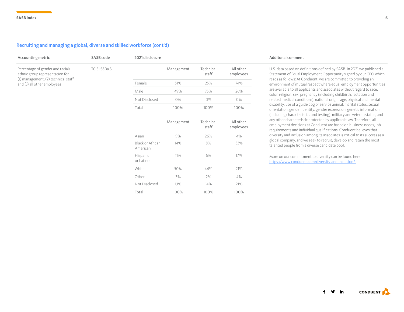#### Recruiting and managing a global, diverse and skilled workforce (cont'd)

| Accounting metric                                                   | SASB code    | 2021 disclosure              |            |                    |                        |
|---------------------------------------------------------------------|--------------|------------------------------|------------|--------------------|------------------------|
| Percentage of gender and racial/<br>ethnic group representation for | TC-SI-330a.3 |                              | Management | Technical<br>staff | All other<br>employees |
| (1) management, (2) technical staff<br>and (3) all other employees  |              | Female                       | 51%        | 25%                | 74%                    |
|                                                                     |              | Male                         | 49%        | 75%                | 26%                    |
|                                                                     |              | Not Disclosed                | 0%         | 0%                 | 0%                     |
|                                                                     |              | Total                        | 100%       | 100%               | 100%                   |
|                                                                     |              |                              | Management | Technical<br>staff | All other<br>employees |
|                                                                     |              | Asian                        | 9%         | 26%                | 4%                     |
|                                                                     |              | Black or African<br>American | 14%        | 8%                 | 33%                    |
|                                                                     |              | Hispanic<br>or Latino        | 11%        | 6%                 | 17%                    |
|                                                                     |              | White                        | 50%        | 44%                | 21%                    |
|                                                                     |              | Other                        | 3%         | 2%                 | 4%                     |
|                                                                     |              | Not Disclosed                | 13%        | 14%                | 21%                    |
|                                                                     |              | Total                        | 100%       | 100%               | 100%                   |

#### Additonal comment

U.S. data based on definitions defined by SASB. In 2021 we published a Statement of Equal Employment Opportunity signed by our CEO which reads as follows: At Conduent, we are committed to providing an environment of mutual respect where equal employment opportunities are available to all applicants and associates without regard to race, color, religion, sex, pregnancy (including childbirth, lactation and related medical conditions), national origin, age, physical and mental disability, use of a guide dog or service animal, marital status, sexual orientation, gender identity, gender expression, genetic information (including characteristics and testing), military and veteran status, and any other characteristic protected by applicable law. Therefore, all employment decisions at Conduent are based on business needs, job requirements and individual qualifications. Conduent believes that diversity and inclusion among its associates is critical to its success as a global company, and we seek to recruit, develop and retain the most talented people from a diverse candidate pool.

More on our commitment to diversity can be found here: [https://www.conduent.com/diversity-and-inclusion/](https://www.conduent.com/diversity-and-inclusion/ ) 

**CONDUENT**  $\mathbf{y}$  in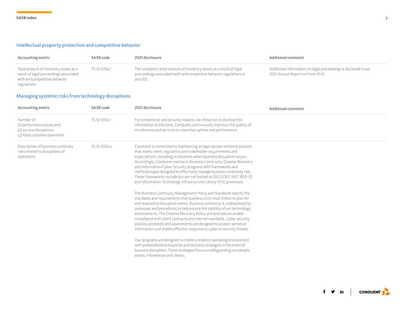#### Intellectual property protection and competitive behavior

| Accounting metric                                                                                                              | SASB code    | 2021 disclosure                                                                                                                                           | Additonal comment                                                                                   |
|--------------------------------------------------------------------------------------------------------------------------------|--------------|-----------------------------------------------------------------------------------------------------------------------------------------------------------|-----------------------------------------------------------------------------------------------------|
| Total amount of monetary losses as a<br>result of legal proceedings associated<br>with anticompetitive behavior<br>regulations | TC-SI-520a.1 | The company's total amount of monetary losses as a result of legal<br>proceedings associated with anticompetitive behavior regulations is<br>zero $(0)$ . | Additional information on legal proceedings is disclosed in our<br>2021 Annual Report on Form 10-K. |

## Managing systemic risks from technology disruptions

| Accounting metric                                                                                  | SASB code    | 2021 disclosure                                                                                                                                                                                                                                                                                                                                                                                                                                                                                                                                                                                                                                                                                                                                                                                                                                                                                                                                                                                                                                                                                                                                                                                                                                                                                                                                                                                                                                                | Additonal comment |
|----------------------------------------------------------------------------------------------------|--------------|----------------------------------------------------------------------------------------------------------------------------------------------------------------------------------------------------------------------------------------------------------------------------------------------------------------------------------------------------------------------------------------------------------------------------------------------------------------------------------------------------------------------------------------------------------------------------------------------------------------------------------------------------------------------------------------------------------------------------------------------------------------------------------------------------------------------------------------------------------------------------------------------------------------------------------------------------------------------------------------------------------------------------------------------------------------------------------------------------------------------------------------------------------------------------------------------------------------------------------------------------------------------------------------------------------------------------------------------------------------------------------------------------------------------------------------------------------------|-------------------|
| Number of<br>(1) performance issues and<br>(2) service disruptions;<br>(3) total customer downtime | TC-SI-550a.1 | For competitive and security reasons, we chose not to disclose this<br>information at this time. Conduent continuously improves the quality of<br>its solutions and services to maximize uptime and performance.                                                                                                                                                                                                                                                                                                                                                                                                                                                                                                                                                                                                                                                                                                                                                                                                                                                                                                                                                                                                                                                                                                                                                                                                                                               |                   |
| Description of business continuity<br>risks related to disruptions of<br>operations                | TC-SI-550a.2 | Conduent is committed to maintaining an appropriate resilience posture<br>that meets client, regulatory and stakeholder requirements and<br>expectations, including in instances when business disruption occurs.<br>Accordingly, Conduent maintains Business Continuity, Disaster Recovery<br>and Information/Cyber Security programs with frameworks and<br>methodologies designed to effectively manage business continuity risk.<br>These frameworks include but are not limited to ISO 22301. NIST 800-53<br>and Information Technology Infrastructure Library (ITIL) processes.<br>The Business Continuity Management Policy and Standards specify the<br>mandates and requirements that business units must follow to plan for<br>and respond to disruptive events. Business continuity is underpinned by<br>processes and procedures to help ensure the stability of our technology<br>environments. The Disaster Recovery Policy and procedures enable<br>compliance with client contracts and internal standards. Cyber security<br>policies, protocols and assessments are designed to protect sensitive<br>information and enable effective response to cyber or security threats.<br>Our programs are designed to create a resilient operating environment<br>with preestablished response and recovery strategies in the event of<br>business disruption. These strategies focus on safeguarding our people,<br>assets, information and clients. |                   |

 $f \circ \infty$  in  $\vert$  conduent